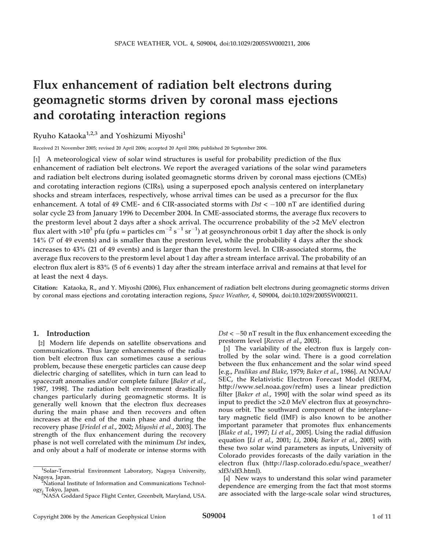# Flux enhancement of radiation belt electrons during geomagnetic storms driven by coronal mass ejections and corotating interaction regions

Ryuho Kataoka<sup>1,2,3</sup> and Yoshizumi Miyoshi<sup>1</sup>

Received 21 November 2005; revised 20 April 2006; accepted 20 April 2006; published 20 September 2006.

[1] A meteorological view of solar wind structures is useful for probability prediction of the flux enhancement of radiation belt electrons. We report the averaged variations of the solar wind parameters and radiation belt electrons during isolated geomagnetic storms driven by coronal mass ejections (CMEs) and corotating interaction regions (CIRs), using a superposed epoch analysis centered on interplanetary shocks and stream interfaces, respectively, whose arrival times can be used as a precursor for the flux enhancement. A total of 49 CME- and 6 CIR-associated storms with  $Dst < -100$  nT are identified during solar cycle 23 from January 1996 to December 2004. In CME-associated storms, the average flux recovers to the prestorm level about 2 days after a shock arrival. The occurrence probability of the >2 MeV electron flux alert with >10<sup>3</sup> pfu (pfu = particles cm<sup>-2</sup> s<sup>-1</sup> sr<sup>-1</sup>) at geosynchronous orbit 1 day after the shock is only 14% (7 of 49 events) and is smaller than the prestorm level, while the probability 4 days after the shock increases to 43% (21 of 49 events) and is larger than the prestorm level. In CIR-associated storms, the average flux recovers to the prestorm level about 1 day after a stream interface arrival. The probability of an electron flux alert is 83% (5 of 6 events) 1 day after the stream interface arrival and remains at that level for at least the next 4 days.

Citation: Kataoka, R., and Y. Miyoshi (2006), Flux enhancement of radiation belt electrons during geomagnetic storms driven by coronal mass ejections and corotating interaction regions, Space Weather, 4, S09004, doi:10.1029/2005SW000211.

### 1. Introduction

[2] Modern life depends on satellite observations and communications. Thus large enhancements of the radiation belt electron flux can sometimes cause a serious problem, because these energetic particles can cause deep dielectric charging of satellites, which in turn can lead to spacecraft anomalies and/or complete failure [Baker et al., 1987, 1998]. The radiation belt environment drastically changes particularly during geomagnetic storms. It is generally well known that the electron flux decreases during the main phase and then recovers and often increases at the end of the main phase and during the recovery phase [Friedel et al., 2002; Miyoshi et al., 2003]. The strength of the flux enhancement during the recovery phase is not well correlated with the minimum Dst index, and only about a half of moderate or intense storms with

 $Dst < -50$  nT result in the flux enhancement exceeding the prestorm level [Reeves et al., 2003].

[3] The variability of the electron flux is largely controlled by the solar wind. There is a good correlation between the flux enhancement and the solar wind speed [e.g., Paulikas and Blake, 1979; Baker et al., 1986]. At NOAA/ SEC, the Relativistic Electron Forecast Model (REFM, http://www.sel.noaa.gov/refm) uses a linear prediction filter [Baker et al., 1990] with the solar wind speed as its input to predict the >2.0 MeV electron flux at geosynchronous orbit. The southward component of the interplanetary magnetic field (IMF) is also known to be another important parameter that promotes flux enhancements [Blake et al., 1997; Li et al., 2005]. Using the radial diffusion equation [Li et al., 2001; Li, 2004; Barker et al., 2005] with these two solar wind parameters as inputs, University of Colorado provides forecasts of the daily variation in the electron flux (http://lasp.colorado.edu/space\_weather/ xlf3/xlf3.html).

[4] New ways to understand this solar wind parameter dependence are emerging from the fact that most storms are associated with the large-scale solar wind structures,

<sup>&</sup>lt;sup>1</sup>Solar-Terrestrial Environment Laboratory, Nagoya University, Nagoya, Japan. <sup>2</sup>

National Institute of Information and Communications Technology, Tokyo, Japan.<br><sup>3</sup>NASA Goddard Space Flight Center, Greenbelt, Maryland, USA.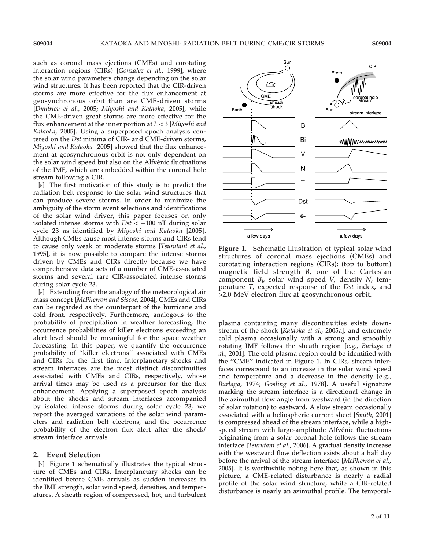S09004

such as coronal mass ejections (CMEs) and corotating interaction regions (CIRs) [Gonzalez et al., 1999], where the solar wind parameters change depending on the solar wind structures. It has been reported that the CIR-driven storms are more effective for the flux enhancement at geosynchronous orbit than are CME-driven storms [Dmitriev et al., 2005; Miyoshi and Kataoka, 2005], while the CME-driven great storms are more effective for the flux enhancement at the inner portion at  $L < 3$  [Miyoshi and Kataoka, 2005]. Using a superposed epoch analysis centered on the Dst minima of CIR- and CME-driven storms, Miyoshi and Kataoka [2005] showed that the flux enhancement at geosynchronous orbit is not only dependent on the solar wind speed but also on the Alfvénic fluctuations of the IMF, which are embedded within the coronal hole stream following a CIR.

[5] The first motivation of this study is to predict the radiation belt response to the solar wind structures that can produce severe storms. In order to minimize the ambiguity of the storm event selections and identifications of the solar wind driver, this paper focuses on only isolated intense storms with  $Dst < -100$  nT during solar cycle 23 as identified by Miyoshi and Kataoka [2005]. Although CMEs cause most intense storms and CIRs tend to cause only weak or moderate storms [Tsurutani et al., 1995], it is now possible to compare the intense storms driven by CMEs and CIRs directly because we have comprehensive data sets of a number of CME-associated storms and several rare CIR-associated intense storms during solar cycle 23.

[6] Extending from the analogy of the meteorological air mass concept [McPherron and Siscoe, 2004], CMEs and CIRs can be regarded as the counterpart of the hurricane and cold front, respectively. Furthermore, analogous to the probability of precipitation in weather forecasting, the occurrence probabilities of killer electrons exceeding an alert level should be meaningful for the space weather forecasting. In this paper, we quantify the occurrence probability of ''killer electrons'' associated with CMEs and CIRs for the first time. Interplanetary shocks and stream interfaces are the most distinct discontinuities associated with CMEs and CIRs, respectively, whose arrival times may be used as a precursor for the flux enhancement. Applying a superposed epoch analysis about the shocks and stream interfaces accompanied by isolated intense storms during solar cycle 23, we report the averaged variations of the solar wind parameters and radiation belt electrons, and the occurrence probability of the electron flux alert after the shock/ stream interface arrivals.

### 2. Event Selection

[7] Figure 1 schematically illustrates the typical structure of CMEs and CIRs. Interplanetary shocks can be identified before CME arrivals as sudden increases in the IMF strength, solar wind speed, densities, and temperatures. A sheath region of compressed, hot, and turbulent



Figure 1. Schematic illustration of typical solar wind structures of coronal mass ejections (CMEs) and corotating interaction regions (CIRs): (top to bottom) magnetic field strength B, one of the Cartesian component  $B_{i}$ , solar wind speed V, density N, temperature T, expected response of the Dst index, and >2.0 MeV electron flux at geosynchronous orbit.

plasma containing many discontinuities exists downstream of the shock [Kataoka et al., 2005a], and extremely cold plasma occasionally with a strong and smoothly rotating IMF follows the sheath region [e.g., Burlaga et al., 2001]. The cold plasma region could be identified with the ''CME'' indicated in Figure 1. In CIRs, stream interfaces correspond to an increase in the solar wind speed and temperature and a decrease in the density [e.g., Burlaga, 1974; Gosling et al., 1978]. A useful signature marking the stream interface is a directional change in the azimuthal flow angle from westward (in the direction of solar rotation) to eastward. A slow stream occasionally associated with a heliospheric current sheet [Smith, 2001] is compressed ahead of the stream interface, while a highspeed stream with large-amplitude Alfvénic fluctuations originating from a solar coronal hole follows the stream interface [Tsurutani et al., 2006]. A gradual density increase with the westward flow deflection exists about a half day before the arrival of the stream interface [McPherron et al., 2005]. It is worthwhile noting here that, as shown in this picture, a CME-related disturbance is nearly a radial profile of the solar wind structure, while a CIR-related disturbance is nearly an azimuthal profile. The temporal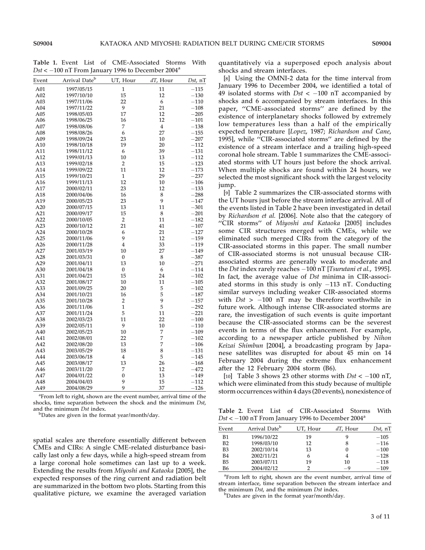Table 1. Event List of CME-Associated Storms With Dst <  $-100$  nT From January 1996 to December 2004<sup>a</sup>

| Event | Arrival Date <sup>b</sup> | UT, Hour                | dT, Hour       | $Dst$ , nT |
|-------|---------------------------|-------------------------|----------------|------------|
| A01   | 1997/05/15                | $\mathbf{1}$            | 11             | $-115$     |
| A02   | 1997/10/10                | 15                      | 12             | $-130$     |
| A03   | 1997/11/06                | 22                      | 6              | $-110$     |
| A04   | 1997/11/22                | 9                       | 21             | $-108$     |
| A05   | 1998/05/03                | 17                      | 12             | $-205$     |
| A06   | 1998/06/25                | 16                      | 12             | $-101$     |
| A07   | 1998/08/06                | 7                       | $\overline{4}$ | $-138$     |
| A08   | 1998/08/26                | 6                       | 27             | $-155$     |
| A09   | 1998/09/24                | 23                      | 10             | $-207$     |
| A10   | 1998/10/18                | 19                      | 20             | $-112$     |
| A11   | 1998/11/12                | 6                       | 39             | $-131$     |
| A12   | 1999/01/13                | 10                      | 13             | $-112$     |
| A13   | 1999/02/18                | $\overline{2}$          | 15             | $-123$     |
| A14   | 1999/09/22                | 11                      | 12             | $-173$     |
| A15   | 1999/10/21                | $\mathbf{1}$            | 29             | $-237$     |
| A16   | 1999/11/13                | 12                      | 10             | $-106$     |
| A17   | 2000/02/11                | 23                      | 12             | $-133$     |
| A18   | 2000/04/06                | 16                      | 8              | $-288$     |
| A19   | 2000/05/23                | 23                      | 9              | $-147$     |
| A20   | 2000/07/15                | 13                      | 11             | $-301$     |
| A21   | 2000/09/17                | 15                      | 8              | $-201$     |
| A22   | 2000/10/05                | $\overline{2}$          | 11             | $-182$     |
| A23   | 2000/10/12                | 21                      | 41             | $-107$     |
| A24   | 2000/10/28                | 6                       | 21             | $-127$     |
| A25   | 2000/11/06                | 9                       | 12             | $-159$     |
| A26   | 2000/11/28                | $\overline{\mathbf{4}}$ | 33             | $-119$     |
| A27   | 2001/03/19                | 10                      | 27             | $-149$     |
| A28   | 2001/03/31                | $\boldsymbol{0}$        | 8              | $-387$     |
| A29   | 2001/04/11                | 13                      | 10             | $-271$     |
| A30   | 2001/04/18                | $\boldsymbol{0}$        | 6              | $-114$     |
| A31   | 2001/04/21                | 15                      | 24             | $-102$     |
| A32   | 2001/08/17                | 10                      | 11             | $-105$     |
| A33   | 2001/09/25                | 20                      | 5              | $-102$     |
| A34   | 2001/10/21                | 16                      | 5              | $-187$     |
| A35   | 2001/10/28                | $\overline{2}$          | 9              | $-157$     |
| A36   | 2001/11/06                | $\mathbf{1}$            | 5              | $-292$     |
| A37   | 2001/11/24                | 5                       | 11             | $-221$     |
| A38   | 2002/03/23                | 11                      | 22             | $-100$     |
| A39   | 2002/05/11                | 9                       | 10             | $-110$     |
| A40   | 2002/05/23                | 10                      | 7              | $-109$     |
| A41   | 2002/08/01                | 22                      | 7              | $-102$     |
| A42   | 2002/08/20                | 13                      | 7              | $-106$     |
| A43   | 2003/05/29                | 18                      | 8              | $-131$     |
| A44   | 2003/06/18                | $\overline{4}$          | 5              | $-145$     |
| A45   | 2003/08/17                | 13                      | 26             | $-168$     |
| A46   | 2003/11/20                | 7                       | 12             | $-472$     |
| A47   | 2004/01/22                | $\boldsymbol{0}$        | 13             | $-149$     |
| A48   | 2004/04/03                | 9                       | 15             | $-112$     |
| A49   | 2004/08/29                | 9                       | 37             | $-126$     |
|       |                           |                         |                |            |

<sup>a</sup> From left to right, shown are the event number, arrival time of the shocks, time separation between the shock and the minimum Dst, and the minimum Dst index.

<sup>b</sup>Dates are given in the format year/month/day.

spatial scales are therefore essentially different between CMEs and CIRs: A single CME-related disturbance basically last only a few days, while a high-speed stream from a large coronal hole sometimes can last up to a week. Extending the results from Miyoshi and Kataoka [2005], the expected responses of the ring current and radiation belt are summarized in the bottom two plots. Starting from this qualitative picture, we examine the averaged variation

quantitatively via a superposed epoch analysis about shocks and stream interfaces.

[8] Using the OMNI-2 data for the time interval from January 1996 to December 2004, we identified a total of 49 isolated storms with  $Dst < -100$  nT accompanied by shocks and 6 accompanied by stream interfaces. In this paper, ''CME-associated storms'' are defined by the existence of interplanetary shocks followed by extremely low temperatures less than a half of the empirically expected temperature [Lopez, 1987; Richardson and Cane, 1995], while ''CIR-associated storms'' are defined by the existence of a stream interface and a trailing high-speed coronal hole stream. Table 1 summarizes the CME-associated storms with UT hours just before the shock arrival. When multiple shocks are found within 24 hours, we selected the most significant shock with the largest velocity jump.

[9] Table 2 summarizes the CIR-associated storms with the UT hours just before the stream interface arrival. All of the events listed in Table 2 have been investigated in detail by Richardson et al. [2006]. Note also that the category of ''CIR storms'' of Miyoshi and Kataoka [2005] includes some CIR structures merged with CMEs, while we eliminated such merged CIRs from the category of the CIR-associated storms in this paper. The small number of CIR-associated storms is not unusual because CIRassociated storms are generally weak to moderate and the Dst index rarely reaches  $-100$  nT [Tsurutani et al., 1995]. In fact, the average value of Dst minima in CIR-associated storms in this study is only  $-113$  nT. Conducting similar surveys including weaker CIR-associated storms with  $Dst$  > -100 nT may be therefore worthwhile in future work. Although intense CIR-associated storms are rare, the investigation of such events is quite important because the CIR-associated storms can be the severest events in terms of the flux enhancement. For example, according to a newspaper article published by Nihon Keizai Shimbun [2004], a broadcasting program by Japanese satellites was disrupted for about 45 min on 14 February 2004 during the extreme flux enhancement after the 12 February 2004 storm (B6).

[10] Table 3 shows 23 other storms with  $Dst < -100$  nT, which were eliminated from this study because of multiple storm occurrences within 4 days (20 events), nonexistence of

Table 2. Event List of CIR-Associated Storms With  $Dst < -100$  nT From January 1996 to December 2004<sup>a</sup>

| Event          | Arrival Date <sup>b</sup> | UT, Hour | $dT$ , Hour | $Dst$ , nT |
|----------------|---------------------------|----------|-------------|------------|
| B1             | 1996/10/22                | 19       |             | $-105$     |
| B2             | 1998/03/10                | 12       |             | $-116$     |
| B <sub>3</sub> | 2002/10/14                | 13       |             | $-100$     |
| <b>B4</b>      | 2002/11/21                | 6        |             | $-128$     |
| <b>B5</b>      | 2003/07/11                | 19       | 10          | $-118$     |
| <b>B6</b>      | 2004/02/12                |          | $-9$        | $-109$     |

<sup>a</sup>From left to right, shown are the event number, arrival time of stream interface, time separation between the stream interface and the minimum Dst, and the minimum Dst index.

<sup>b</sup>Dates are given in the format year/month/day.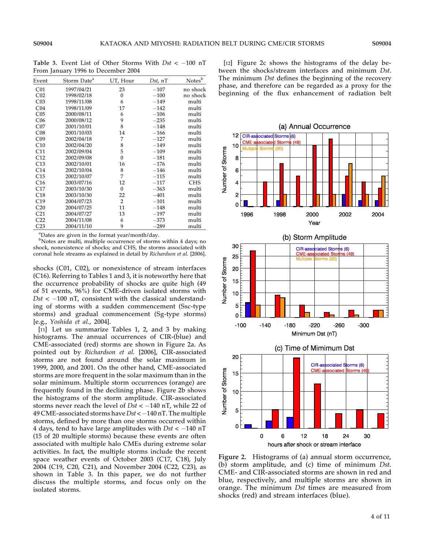Table 3. Event List of Other Storms With  $Dst < -100$  nT From January 1996 to December 2004

| Event           | Storm Date <sup>a</sup> | UT, Hour         | $Dst$ , nT | Notes <sup>b</sup> |
|-----------------|-------------------------|------------------|------------|--------------------|
| C <sub>01</sub> | 1997/04/21              | 23               | $-107$     | no shock           |
| C <sub>02</sub> | 1998/02/18              | $\bf{0}$         | $-100$     | no shock           |
| C <sub>03</sub> | 1998/11/08              | 6                | $-149$     | multi              |
| C <sub>04</sub> | 1998/11/09              | 17               | $-142$     | multi              |
| CO <sub>5</sub> | 2000/08/11              | 6                | $-106$     | multi              |
| C <sub>06</sub> | 2000/08/12              | 9                | $-235$     | multi              |
| CO7             | 2001/10/01              | 8                | $-148$     | multi              |
| C <sub>08</sub> | 2001/10/03              | 14               | $-166$     | multi              |
| C <sub>09</sub> | 2002/04/18              | 7                | $-127$     | multi              |
| C10             | 2002/04/20              | 8                | $-149$     | multi              |
| C11             | 2002/09/04              | 5                | $-109$     | multi              |
| C12             | 2002/09/08              | $\mathbf{0}$     | $-181$     | multi              |
| C13             | 2002/10/01              | 16               | $-176$     | multi              |
| C14             | 2002/10/04              | 8                | $-146$     | multi              |
| C15             | 2002/10/07              | 7                | $-115$     | multi              |
| C16             | 2003/07/16              | 12               | $-117$     | <b>CHS</b>         |
| C17             | 2003/10/30              | $\boldsymbol{0}$ | $-363$     | multi              |
| C18             | 2003/10/30              | 22               | $-401$     | multi              |
| C19             | 2004/07/23              | 2                | $-101$     | multi              |
| C <sub>20</sub> | 2004/07/25              | 11               | $-148$     | multi              |
| C <sub>21</sub> | 2004/07/27              | 13               | $-197$     | multi              |
| C <sub>22</sub> | 2004/11/08              | 6                | $-373$     | multi              |
| C <sub>23</sub> | 2004/11/10              | 9                | $-289$     | multi              |

<sup>a</sup>Dates are given in the format year/month/day.

<sup>b</sup>Notes are multi, multiple occurrence of storms within 4 days; no shock, nonexistence of shocks; and CHS, the storms associated with coronal hole streams as explained in detail by Richardson et al. [2006].

shocks (C01, C02), or nonexistence of stream interfaces (C16). Referring to Tables 1 and 3, it is noteworthy here that the occurrence probability of shocks are quite high (49 of 51 events, 96%) for CME-driven isolated storms with  $Dst < -100$  nT, consistent with the classical understanding of storms with a sudden commencement (Ssc-type storms) and gradual commencement (Sg-type storms) [e.g., Yoshida et al., 2004].

[11] Let us summarize Tables 1, 2, and 3 by making histograms. The annual occurrences of CIR-(blue) and CME-associated (red) storms are shown in Figure 2a. As pointed out by Richardson et al. [2006], CIR-associated storms are not found around the solar maximum in 1999, 2000, and 2001. On the other hand, CME-associated storms are more frequent in the solar maximum than in the solar minimum. Multiple storm occurrences (orange) are frequently found in the declining phase. Figure 2b shows the histograms of the storm amplitude. CIR-associated storms never reach the level of  $Dst < -140$  nT, while 22 of 49 CME-associated storms have  $Dst < -140$  nT. The multiple storms, defined by more than one storms occurred within 4 days, tend to have large amplitudes with  $Dst < -140$  nT (15 of 20 multiple storms) because these events are often associated with multiple halo CMEs during extreme solar activities. In fact, the multiple storms include the recent space weather events of October 2003 (C17, C18), July 2004 (C19, C20, C21), and November 2004 (C22, C23), as shown in Table 3. In this paper, we do not further discuss the multiple storms, and focus only on the isolated storms.

[12] Figure 2c shows the histograms of the delay between the shocks/stream interfaces and minimum Dst. The minimum Dst defines the beginning of the recovery phase, and therefore can be regarded as a proxy for the beginning of the flux enhancement of radiation belt



Figure 2. Histograms of (a) annual storm occurrence, (b) storm amplitude, and (c) time of minimum Dst. CME- and CIR-associated storms are shown in red and blue, respectively, and multiple storms are shown in orange. The minimum Dst times are measured from shocks (red) and stream interfaces (blue).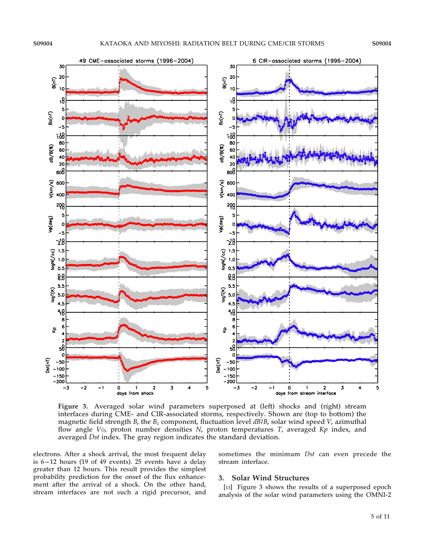

Figure 3. Averaged solar wind parameters superposed at (left) shocks and (right) stream interfaces during CME- and CIR-associated storms, respectively. Shown are (top to bottom) the magnetic field strength B, the  $B_z$  component, fluctuation level  $d\vec{B}/B$ , solar wind speed V, azimuthal flow angle  $V\phi$ , proton number densities N, proton temperatures T, averaged Kp index, and averaged Dst index. The gray region indicates the standard deviation.

electrons. After a shock arrival, the most frequent delay is  $6-12$  hours (19 of 49 events). 25 events have a delay greater than 12 hours. This result provides the simplest probability prediction for the onset of the flux enhancement after the arrival of a shock. On the other hand, stream interfaces are not such a rigid precursor, and sometimes the minimum Dst can even precede the stream interface.

#### 3. Solar Wind Structures

[13] Figure 3 shows the results of a superposed epoch analysis of the solar wind parameters using the OMNI-2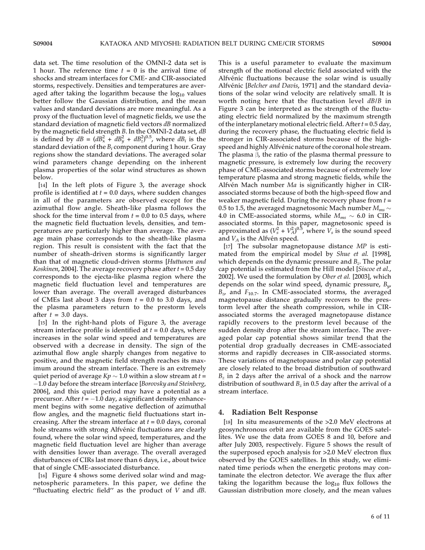data set. The time resolution of the OMNI-2 data set is 1 hour. The reference time  $t = 0$  is the arrival time of shocks and stream interfaces for CME- and CIR-associated storms, respectively. Densities and temperatures are averaged after taking the logarithm because the  $log_{10}$  values better follow the Gaussian distribution, and the mean values and standard deviations are more meaningful. As a proxy of the fluctuation level of magnetic fields, we use the standard deviation of magnetic field vectors dB normalized by the magnetic field strength B. In the OMNI-2 data set, dB is defined by  $dB = (dB_x^2 + dB_y^2 + dB_z^2)^{0.5}$ , where  $dB_i$  is the standard deviation of the  $B_i$  component during 1 hour. Gray regions show the standard deviations. The averaged solar wind parameters change depending on the inherent plasma properties of the solar wind structures as shown below.

[14] In the left plots of Figure 3, the average shock profile is identified at  $t = 0.0$  days, where sudden changes in all of the parameters are observed except for the azimuthal flow angle. Sheath-like plasma follows the shock for the time interval from  $t = 0.0$  to 0.5 days, where the magnetic field fluctuation levels, densities, and temperatures are particularly higher than average. The average main phase corresponds to the sheath-like plasma region. This result is consistent with the fact that the number of sheath-driven storms is significantly larger than that of magnetic cloud-driven storms [Huttunen and *Koskinen,* 2004]. The average recovery phase after  $t = 0.5$  day corresponds to the ejecta-like plasma region where the magnetic field fluctuation level and temperatures are lower than average. The overall averaged disturbances of CMEs last about 3 days from  $t = 0.0$  to 3.0 days, and the plasma parameters return to the prestorm levels after  $t = 3.0$  days.

[15] In the right-hand plots of Figure 3, the average stream interface profile is identified at  $t = 0.0$  days, where increases in the solar wind speed and temperatures are observed with a decrease in density. The sign of the azimuthal flow angle sharply changes from negative to positive, and the magnetic field strength reaches its maximum around the stream interface. There is an extremely quiet period of average K $p\sim$  1.0 within a slow stream at  $t$  =  $-1.0$  day before the stream interface [Borovsky and Steinberg, 2006], and this quiet period may have a potential as a precursor. After  $t = -1.0$  day, a significant density enhancement begins with some negative deflection of azimuthal flow angles, and the magnetic field fluctuations start increasing. After the stream interface at  $t = 0.0$  days, coronal hole streams with strong Alfvénic fluctuations are clearly found, where the solar wind speed, temperatures, and the magnetic field fluctuation level are higher than average with densities lower than average. The overall averaged disturbances of CIRs last more than 6 days, i.e., about twice that of single CME-associated disturbance.

[16] Figure 4 shows some derived solar wind and magnetospheric parameters. In this paper, we define the "fluctuating electric field" as the product of  $V$  and  $dB$ . This is a useful parameter to evaluate the maximum strength of the motional electric field associated with the Alfvénic fluctuations because the solar wind is usually Alfvénic [Belcher and Davis, 1971] and the standard deviations of the solar wind velocity are relatively small. It is worth noting here that the fluctuation level dB/B in Figure 3 can be interpreted as the strength of the fluctuating electric field normalized by the maximum strength of the interplanetary motional electric field. After  $t = 0.5$  day, during the recovery phase, the fluctuating electric field is stronger in CIR-associated storms because of the highspeed and highly Alfvénic nature of the coronal hole stream. The plasma  $\beta$ , the ratio of the plasma thermal pressure to magnetic pressure, is extremely low during the recovery phase of CME-associated storms because of extremely low temperature plasma and strong magnetic fields, while the Alfvén Mach number Ma is significantly higher in CIRassociated storms because of both the high-speed flow and weaker magnetic field. During the recovery phase from  $t =$ 0.5 to 1.5, the averaged magnetosonic Mach number  $M_{ms}$   $\sim$ 4.0 in CME-associated storms, while  $M_{ms} \sim 6.0$  in CIRassociated storms. In this paper, magnetosonic speed is approximated as  $(V_s^2 + V_A^2)^{0.5}$ , where  $V_s$  is the sound speed and  $V_A$  is the Alfvén speed.

[17] The subsolar magnetopause distance MP is estimated from the empirical model by Shue et al. [1998], which depends on the dynamic pressure and  $B<sub>z</sub>$ . The polar cap potential is estimated from the Hill model [Siscoe et al., 2002]. We used the formulation by Ober et al. [2003], which depends on the solar wind speed, dynamic pressure,  $B_{\nu}$ ,  $B_{z}$ , and  $F_{10.7}$ . In CME-associated storms, the averaged magnetopause distance gradually recovers to the prestorm level after the sheath compression, while in CIRassociated storms the averaged magnetopause distance rapidly recovers to the prestorm level because of the sudden density drop after the stream interface. The averaged polar cap potential shows similar trend that the potential drop gradually decreases in CME-associated storms and rapidly decreases in CIR-associated storms. These variations of magnetopause and polar cap potential are closely related to the broad distribution of southward  $B<sub>z</sub>$  in 2 days after the arrival of a shock and the narrow distribution of southward  $B_z$  in 0.5 day after the arrival of a stream interface.

### 4. Radiation Belt Response

[18] In situ measurements of the >2.0 MeV electrons at geosynchronous orbit are available from the GOES satellites. We use the data from GOES 8 and 10, before and after July 2003, respectively. Figure 5 shows the result of the superposed epoch analysis for >2.0 MeV electron flux observed by the GOES satellites. In this study, we eliminated time periods when the energetic protons may contaminate the electron detector. We average the flux after taking the logarithm because the  $log_{10}$  flux follows the Gaussian distribution more closely, and the mean values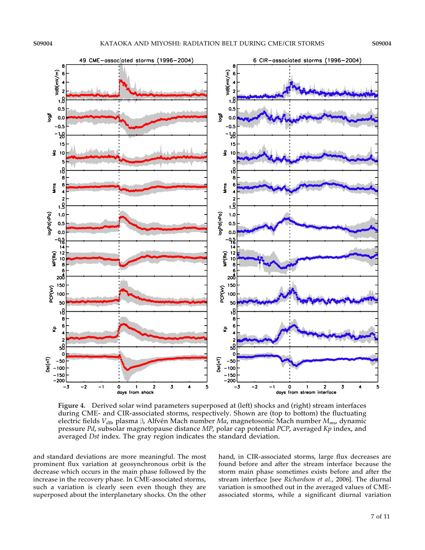

Figure 4. Derived solar wind parameters superposed at (left) shocks and (right) stream interfaces during CME- and CIR-associated storms, respectively. Shown are (top to bottom) the fluctuating electric fields  $V_{dB}$ , plasma  $\beta$ , Alfvén Mach number *Ma*, magnetosonic Mach number  $M_{ms}$ , dynamic pressure Pd, subsolar magnetopause distance MP, polar cap potential PCP, averaged Kp index, and averaged Dst index. The gray region indicates the standard deviation.

and standard deviations are more meaningful. The most prominent flux variation at geosynchronous orbit is the decrease which occurs in the main phase followed by the increase in the recovery phase. In CME-associated storms, such a variation is clearly seen even though they are superposed about the interplanetary shocks. On the other

hand, in CIR-associated storms, large flux decreases are found before and after the stream interface because the storm main phase sometimes exists before and after the stream interface [see Richardson et al., 2006]. The diurnal variation is smoothed out in the averaged values of CMEassociated storms, while a significant diurnal variation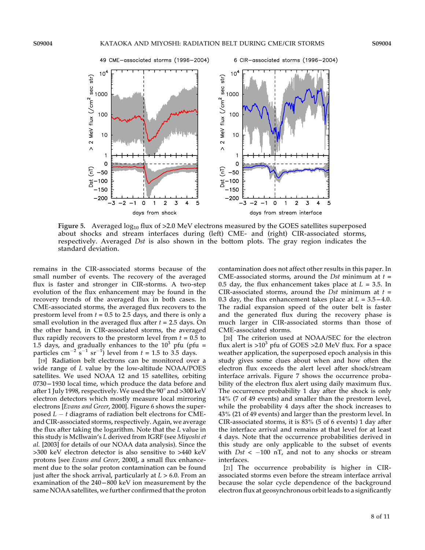

Figure 5. Averaged  $log_{10}$  flux of >2.0 MeV electrons measured by the GOES satellites superposed about shocks and stream interfaces during (left) CME- and (right) CIR-associated storms, respectively. Averaged Dst is also shown in the bottom plots. The gray region indicates the standard deviation.

remains in the CIR-associated storms because of the small number of events. The recovery of the averaged flux is faster and stronger in CIR-storms. A two-step evolution of the flux enhancement may be found in the recovery trends of the averaged flux in both cases. In CME-associated storms, the averaged flux recovers to the prestorm level from  $t = 0.5$  to 2.5 days, and there is only a small evolution in the averaged flux after  $t = 2.5$  days. On the other hand, in CIR-associated storms, the averaged flux rapidly recovers to the prestorm level from  $t = 0.5$  to 1.5 days, and gradually enhances to the  $10^3$  pfu (pfu = particles cm<sup>-2</sup> s<sup>-1</sup> sr<sup>-1</sup>) level from  $t = 1.5$  to 3.5 days.

[19] Radiation belt electrons can be monitored over a wide range of L value by the low-altitude NOAA/POES satellites. We used NOAA 12 and 15 satellites, orbiting 0730 - 1930 local time, which produce the data before and after 1 July 1998, respectively. We used the  $90^\circ$  and  $>300$  keV electron detectors which mostly measure local mirroring electrons [Evans and Greer, 2000]. Figure 6 shows the superposed  $L - t$  diagrams of radiation belt electrons for CMEand CIR-associated storms, respectively. Again, we average the flux after taking the logarithm. Note that the L value in this study is McIlwain's L derived from IGRF (see Miyoshi et al. [2003] for details of our NOAA data analysis). Since the >300 keV electron detector is also sensitive to >440 keV protons [see Evans and Greer, 2000], a small flux enhancement due to the solar proton contamination can be found just after the shock arrival, particularly at  $L > 6.0$ . From an examination of the  $240 - 800$  keV ion measurement by the same NOAA satellites, we further confirmed that the proton

contamination does not affect other results in this paper. In CME-associated storms, around the *Dst* minimum at  $t =$ 0.5 day, the flux enhancement takes place at  $L = 3.5$ . In CIR-associated storms, around the *Dst* minimum at  $t =$ 0.3 day, the flux enhancement takes place at  $L = 3.5 - 4.0$ . The radial expansion speed of the outer belt is faster and the generated flux during the recovery phase is much larger in CIR-associated storms than those of CME-associated storms.

[20] The criterion used at NOAA/SEC for the electron flux alert is  $>10^3$  pfu of GOES  $>2.0$  MeV flux. For a space weather application, the superposed epoch analysis in this study gives some clues about when and how often the electron flux exceeds the alert level after shock/stream interface arrivals. Figure 7 shows the occurrence probability of the electron flux alert using daily maximum flux. The occurrence probability 1 day after the shock is only 14% (7 of 49 events) and smaller than the prestorm level, while the probability 4 days after the shock increases to 43% (21 of 49 events) and larger than the prestorm level. In CIR-associated storms, it is 83% (5 of 6 events) 1 day after the interface arrival and remains at that level for at least 4 days. Note that the occurrence probabilities derived in this study are only applicable to the subset of events with  $Dst < -100$  nT, and not to any shocks or stream interfaces.

[21] The occurrence probability is higher in CIRassociated storms even before the stream interface arrival because the solar cycle dependence of the background electron flux at geosynchronous orbit leads to a significantly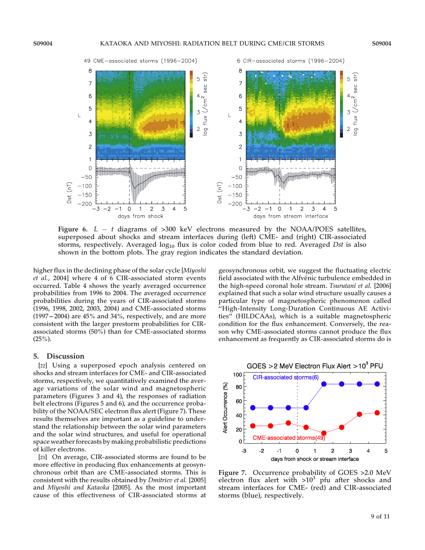

Figure 6.  $L - t$  diagrams of >300 keV electrons measured by the NOAA/POES satellites, superposed about shocks and stream interfaces during (left) CME- and (right) CIR-associated storms, respectively. Averaged  $log_{10}$  flux is color coded from blue to red. Averaged Dst is also shown in the bottom plots. The gray region indicates the standard deviation.

higher flux in the declining phase of the solar cycle [Miyoshi et al., 2004] where 4 of 6 CIR-associated storm events occurred. Table 4 shows the yearly averaged occurrence probabilities from 1996 to 2004. The averaged occurrence probabilities during the years of CIR-associated storms (1996, 1998, 2002, 2003, 2004) and CME-associated storms  $(1997 - 2004)$  are  $45\%$  and  $34\%$ , respectively, and are more consistent with the larger prestorm probabilities for CIRassociated storms (50%) than for CME-associated storms  $(25\%)$ .

## 5. Discussion

[22] Using a superposed epoch analysis centered on shocks and stream interfaces for CME- and CIR-associated storms, respectively, we quantitatively examined the average variations of the solar wind and magnetospheric parameters (Figures 3 and 4), the responses of radiation belt electrons (Figures 5 and 6), and the occurrence probability of the NOAA/SEC electron flux alert (Figure 7). These results themselves are important as a guideline to understand the relationship between the solar wind parameters and the solar wind structures, and useful for operational space weather forecasts by making probabilistic predictions of killer electrons.

[23] On average, CIR-associated storms are found to be more effective in producing flux enhancements at geosynchronous orbit than are CME-associated storms. This is consistent with the results obtained by Dmitriev et al. [2005] and Miyoshi and Kataoka [2005]. As the most important cause of this effectiveness of CIR-associated storms at geosynchronous orbit, we suggest the fluctuating electric field associated with the Alfvénic turbulence embedded in the high-speed coronal hole stream. Tsurutani et al. [2006] explained that such a solar wind structure usually causes a particular type of magnetospheric phenomenon called ''High-Intensity Long-Duration Continuous AE Activities'' (HILDCAAs), which is a suitable magnetospheric condition for the flux enhancement. Conversely, the reason why CME-associated storms cannot produce the flux enhancement as frequently as CIR-associated storms do is



Figure 7. Occurrence probability of GOES >2.0 MeV electron flux alert with  $>10^3$  pfu after shocks and stream interfaces for CME- (red) and CIR-associated storms (blue), respectively.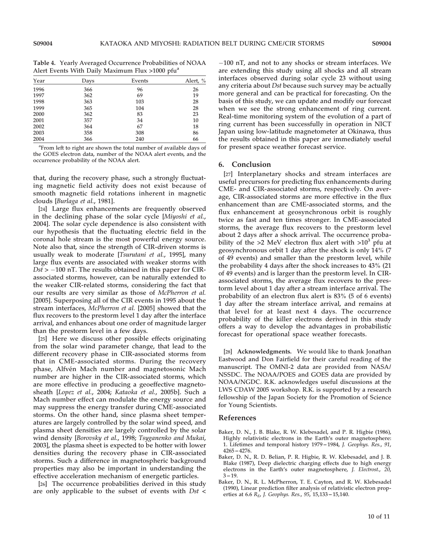Table 4. Yearly Averaged Occurrence Probabilities of NOAA Alert Events With Daily Maximum Flux >1000 pfua

|      |      |        | $\overline{\phantom{a}}$ |
|------|------|--------|--------------------------|
| Year | Days | Events | Alert, %                 |
| 1996 | 366  | 96     | 26                       |
| 1997 | 362  | 69     | 19                       |
| 1998 | 363  | 103    | 28                       |
| 1999 | 365  | 104    | 28                       |
| 2000 | 362  | 83     | 23                       |
| 2001 | 357  | 34     | 10                       |
| 2002 | 364  | 67     | 18                       |
| 2003 | 358  | 308    | 86                       |
| 2004 | 366  | 240    | 66                       |

<sup>a</sup> From left to right are shown the total number of available days of the GOES electron data, number of the NOAA alert events, and the occurrence probability of the NOAA alert.

that, during the recovery phase, such a strongly fluctuating magnetic field activity does not exist because of smooth magnetic field rotations inherent in magnetic clouds [Burlaga et al., 1981].

[24] Large flux enhancements are frequently observed in the declining phase of the solar cycle [Miyoshi et al., 2004]. The solar cycle dependence is also consistent with our hypothesis that the fluctuating electric field in the coronal hole stream is the most powerful energy source. Note also that, since the strength of CIR-driven storms is usually weak to moderate [Tsurutani et al., 1995], many large flux events are associated with weaker storms with  $Dst$  >  $-100$  nT. The results obtained in this paper for CIRassociated storms, however, can be naturally extended to the weaker CIR-related storms, considering the fact that our results are very similar as those of McPherron et al. [2005]. Superposing all of the CIR events in 1995 about the stream interfaces, McPherron et al. [2005] showed that the flux recovers to the prestorm level 1 day after the interface arrival, and enhances about one order of magnitude larger than the prestorm level in a few days.

[25] Here we discuss other possible effects originating from the solar wind parameter change, that lead to the different recovery phase in CIR-associated storms from that in CME-associated storms. During the recovery phase, Alfvén Mach number and magnetosonic Mach number are higher in the CIR-associated storms, which are more effective in producing a geoeffective magnetosheath [Lopez et al., 2004; Kataoka et al., 2005b]. Such a Mach number effect can modulate the energy source and may suppress the energy transfer during CME-associated storms. On the other hand, since plasma sheet temperatures are largely controlled by the solar wind speed, and plasma sheet densities are largely controlled by the solar wind density [Borovsky et al., 1998; Tsyganenko and Mukai, 2003], the plasma sheet is expected to be hotter with lower densities during the recovery phase in CIR-associated storms. Such a difference in magnetospheric background properties may also be important in understanding the effective acceleration mechanism of energetic particles.

[26] The occurrence probabilities derived in this study are only applicable to the subset of events with Dst <  $-100$  nT, and not to any shocks or stream interfaces. We are extending this study using all shocks and all stream interfaces observed during solar cycle 23 without using any criteria about Dst because such survey may be actually more general and can be practical for forecasting. On the basis of this study, we can update and modify our forecast when we see the strong enhancement of ring current. Real-time monitoring system of the evolution of a part of ring current has been successfully in operation in NICT Japan using low-latitude magnetometer at Okinawa, thus the results obtained in this paper are immediately useful for present space weather forecast service.

#### 6. Conclusion

[27] Interplanetary shocks and stream interfaces are useful precursors for predicting flux enhancements during CME- and CIR-associated storms, respectively. On average, CIR-associated storms are more effective in the flux enhancement than are CME-associated storms, and the flux enhancement at geosynchronous orbit is roughly twice as fast and ten times stronger. In CME-associated storms, the average flux recovers to the prestorm level about 2 days after a shock arrival. The occurrence probability of the  $>2$  MeV electron flux alert with  $>10^3$  pfu at geosynchronous orbit 1 day after the shock is only 14% (7 of 49 events) and smaller than the prestorm level, while the probability 4 days after the shock increases to 43% (21 of 49 events) and is larger than the prestorm level. In CIRassociated storms, the average flux recovers to the prestorm level about 1 day after a stream interface arrival. The probability of an electron flux alert is 83% (5 of 6 events) 1 day after the stream interface arrival, and remains at that level for at least next 4 days. The occurrence probability of the killer electrons derived in this study offers a way to develop the advantages in probabilistic forecast for operational space weather forecasts.

[28] Acknowledgments. We would like to thank Jonathan Eastwood and Don Fairfield for their careful reading of the manuscript. The OMNI-2 data are provided from NASA/ NSSDC. The NOAA/POES and GOES data are provided by NOAA/NGDC. R.K. acknowledges useful discussions at the LWS CDAW 2005 workshop. R.K. is supported by a research fellowship of the Japan Society for the Promotion of Science for Young Scientists.

#### References

- Baker, D. N., J. B. Blake, R. W. Klebesadel, and P. R. Higbie (1986), Highly relativistic electrons in the Earth's outer magnetosphere: 1. Lifetimes and temporal history 1979–1984, J. Geophys. Res., 91,  $4265 - 4276.$
- Baker, D. N., R. D. Belian, P. R. Higbie, R. W. Klebesadel, and J. B. Blake (1987), Deep dielectric charging effects due to high energy electrons in the Earth's outer magnetosphere, J. Electrost., 20,  $3 - 19$ .
- Baker, D. N., R. L. McPherron, T. E. Cayton, and R. W. Klebesadel (1990), Linear prediction filter analysis of relativistic electron properties at 6.6  $R_E$ , J. Geophys. Res., 95, 15, 133 - 15, 140.